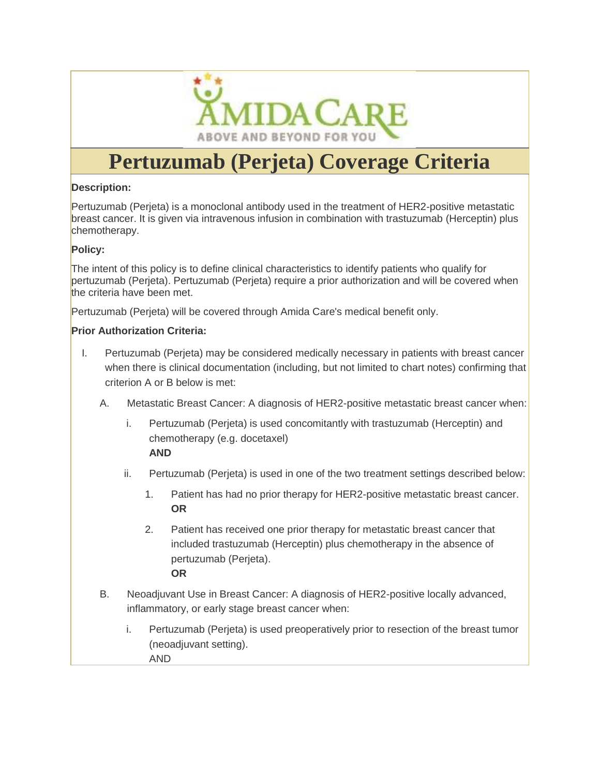

# **Pertuzumab (Perjeta) Coverage Criteria**

#### **Description:**

Pertuzumab (Perjeta) is a monoclonal antibody used in the treatment of HER2-positive metastatic breast cancer. It is given via intravenous infusion in combination with trastuzumab (Herceptin) plus chemotherapy.

# **Policy:**

The intent of this policy is to define clinical characteristics to identify patients who qualify for pertuzumab (Perjeta). Pertuzumab (Perjeta) require a prior authorization and will be covered when the criteria have been met.

Pertuzumab (Perjeta) will be covered through Amida Care's medical benefit only.

#### **Prior Authorization Criteria:**

- I. Pertuzumab (Perjeta) may be considered medically necessary in patients with breast cancer when there is clinical documentation (including, but not limited to chart notes) confirming that criterion A or B below is met:
	- A. Metastatic Breast Cancer: A diagnosis of HER2-positive metastatic breast cancer when:
		- i. Pertuzumab (Perjeta) is used concomitantly with trastuzumab (Herceptin) and chemotherapy (e.g. docetaxel) **AND**

- ii. Pertuzumab (Perjeta) is used in one of the two treatment settings described below:
	- 1. Patient has had no prior therapy for HER2-positive metastatic breast cancer. **OR**
	- 2. Patient has received one prior therapy for metastatic breast cancer that included trastuzumab (Herceptin) plus chemotherapy in the absence of pertuzumab (Perjeta). **OR**
- B. Neoadjuvant Use in Breast Cancer: A diagnosis of HER2-positive locally advanced, inflammatory, or early stage breast cancer when:
	- i. Pertuzumab (Perjeta) is used preoperatively prior to resection of the breast tumor (neoadjuvant setting). AND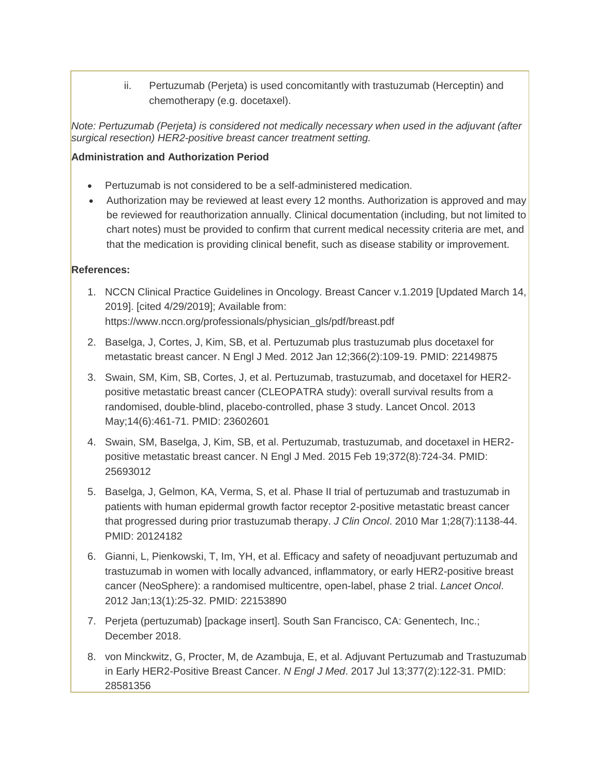ii. Pertuzumab (Perjeta) is used concomitantly with trastuzumab (Herceptin) and chemotherapy (e.g. docetaxel).

*Note: Pertuzumab (Perjeta) is considered not medically necessary when used in the adjuvant (after surgical resection) HER2-positive breast cancer treatment setting.*

### **Administration and Authorization Period**

- Pertuzumab is not considered to be a self-administered medication.
- Authorization may be reviewed at least every 12 months. Authorization is approved and may be reviewed for reauthorization annually. Clinical documentation (including, but not limited to chart notes) must be provided to confirm that current medical necessity criteria are met, and that the medication is providing clinical benefit, such as disease stability or improvement.

# **References:**

- 1. NCCN Clinical Practice Guidelines in Oncology. Breast Cancer v.1.2019 [Updated March 14, 2019]. [cited 4/29/2019]; Available from: https://www.nccn.org/professionals/physician\_gls/pdf/breast.pdf
- 2. Baselga, J, Cortes, J, Kim, SB, et al. Pertuzumab plus trastuzumab plus docetaxel for metastatic breast cancer. N Engl J Med. 2012 Jan 12;366(2):109-19. PMID: 22149875
- 3. Swain, SM, Kim, SB, Cortes, J, et al. Pertuzumab, trastuzumab, and docetaxel for HER2 positive metastatic breast cancer (CLEOPATRA study): overall survival results from a randomised, double-blind, placebo-controlled, phase 3 study. Lancet Oncol. 2013 May;14(6):461-71. PMID: 23602601
- 4. Swain, SM, Baselga, J, Kim, SB, et al. Pertuzumab, trastuzumab, and docetaxel in HER2 positive metastatic breast cancer. N Engl J Med. 2015 Feb 19;372(8):724-34. PMID: 25693012
- 5. Baselga, J, Gelmon, KA, Verma, S, et al. Phase II trial of pertuzumab and trastuzumab in patients with human epidermal growth factor receptor 2-positive metastatic breast cancer that progressed during prior trastuzumab therapy. *J Clin Oncol*. 2010 Mar 1;28(7):1138-44. PMID: 20124182
- 6. Gianni, L, Pienkowski, T, Im, YH, et al. Efficacy and safety of neoadjuvant pertuzumab and trastuzumab in women with locally advanced, inflammatory, or early HER2-positive breast cancer (NeoSphere): a randomised multicentre, open-label, phase 2 trial. *Lancet Oncol*. 2012 Jan;13(1):25-32. PMID: 22153890
- 7. Perjeta (pertuzumab) [package insert]. South San Francisco, CA: Genentech, Inc.; December 2018.
- 8. von Minckwitz, G, Procter, M, de Azambuja, E, et al. Adjuvant Pertuzumab and Trastuzumab in Early HER2-Positive Breast Cancer. *N Engl J Med*. 2017 Jul 13;377(2):122-31. PMID: 28581356